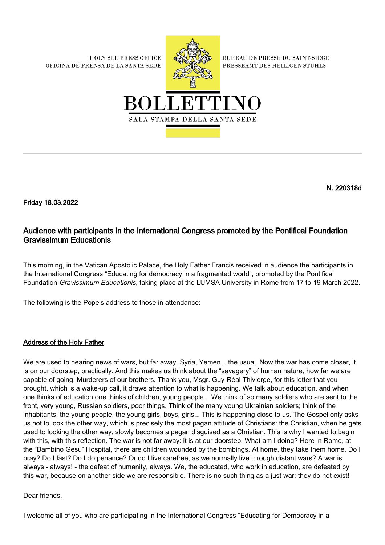**HOLY SEE PRESS OFFICE** OFICINA DE PRENSA DE LA SANTA SEDE



**BUREAU DE PRESSE DU SAINT-SIEGE** PRESSEAMT DES HEILIGEN STUHLS



N. 220318d

Friday 18.03.2022

## Audience with participants in the International Congress promoted by the Pontifical Foundation Gravissimum Educationis

This morning, in the Vatican Apostolic Palace, the Holy Father Francis received in audience the participants in the International Congress "Educating for democracy in a fragmented world", promoted by the Pontifical Foundation Gravissimum Educationis, taking place at the LUMSA University in Rome from 17 to 19 March 2022.

The following is the Pope's address to those in attendance:

## Address of the Holy Father

We are used to hearing news of wars, but far away. Syria, Yemen... the usual. Now the war has come closer, it is on our doorstep, practically. And this makes us think about the "savagery" of human nature, how far we are capable of going. Murderers of our brothers. Thank you, Msgr. Guy-Réal Thivierge, for this letter that you brought, which is a wake-up call, it draws attention to what is happening. We talk about education, and when one thinks of education one thinks of children, young people... We think of so many soldiers who are sent to the front, very young, Russian soldiers, poor things. Think of the many young Ukrainian soldiers; think of the inhabitants, the young people, the young girls, boys, girls... This is happening close to us. The Gospel only asks us not to look the other way, which is precisely the most pagan attitude of Christians: the Christian, when he gets used to looking the other way, slowly becomes a pagan disguised as a Christian. This is why I wanted to begin with this, with this reflection. The war is not far away: it is at our doorstep. What am I doing? Here in Rome, at the "Bambino Gesù" Hospital, there are children wounded by the bombings. At home, they take them home. Do I pray? Do I fast? Do I do penance? Or do I live carefree, as we normally live through distant wars? A war is always - always! - the defeat of humanity, always. We, the educated, who work in education, are defeated by this war, because on another side we are responsible. There is no such thing as a just war: they do not exist!

Dear friends,

I welcome all of you who are participating in the International Congress "Educating for Democracy in a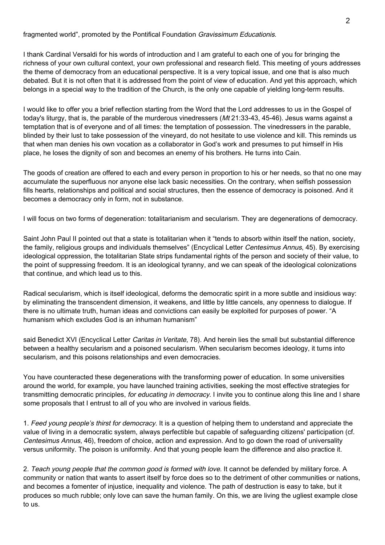fragmented world", promoted by the Pontifical Foundation *Gravissimum Educationis*.

I thank Cardinal Versaldi for his words of introduction and I am grateful to each one of you for bringing the richness of your own cultural context, your own professional and research field. This meeting of yours addresses the theme of democracy from an educational perspective. It is a very topical issue, and one that is also much debated. But it is not often that it is addressed from the point of view of education. And yet this approach, which belongs in a special way to the tradition of the Church, is the only one capable of yielding long-term results.

I would like to offer you a brief reflection starting from the Word that the Lord addresses to us in the Gospel of today's liturgy, that is, the parable of the murderous vinedressers (Mt 21:33-43, 45-46). Jesus warns against a temptation that is of everyone and of all times: the temptation of possession. The vinedressers in the parable, blinded by their lust to take possession of the vineyard, do not hesitate to use violence and kill. This reminds us that when man denies his own vocation as a collaborator in God's work and presumes to put himself in His place, he loses the dignity of son and becomes an enemy of his brothers. He turns into Cain.

The goods of creation are offered to each and every person in proportion to his or her needs, so that no one may accumulate the superfluous nor anyone else lack basic necessities. On the contrary, when selfish possession fills hearts, relationships and political and social structures, then the essence of democracy is poisoned. And it becomes a democracy only in form, not in substance.

I will focus on two forms of degeneration: totalitarianism and secularism. They are degenerations of democracy.

Saint John Paul II pointed out that a state is totalitarian when it "tends to absorb within itself the nation, society, the family, religious groups and individuals themselves" (Encyclical Letter Centesimus Annus, 45). By exercising ideological oppression, the totalitarian State strips fundamental rights of the person and society of their value, to the point of suppressing freedom. It is an ideological tyranny, and we can speak of the ideological colonizations that continue, and which lead us to this.

Radical secularism, which is itself ideological, deforms the democratic spirit in a more subtle and insidious way: by eliminating the transcendent dimension, it weakens, and little by little cancels, any openness to dialogue. If there is no ultimate truth, human ideas and convictions can easily be exploited for purposes of power. "A humanism which excludes God is an inhuman humanism"

said Benedict XVI (Encyclical Letter Caritas in Veritate, 78). And herein lies the small but substantial difference between a healthy secularism and a poisoned secularism. When secularism becomes ideology, it turns into secularism, and this poisons relationships and even democracies.

You have counteracted these degenerations with the transforming power of education. In some universities around the world, for example, you have launched training activities, seeking the most effective strategies for transmitting democratic principles, for educating in democracy. I invite you to continue along this line and I share some proposals that I entrust to all of you who are involved in various fields.

1. Feed young people's thirst for democracy. It is a question of helping them to understand and appreciate the value of living in a democratic system, always perfectible but capable of safeguarding citizens' participation (cf. Centesimus Annus, 46), freedom of choice, action and expression. And to go down the road of universality versus uniformity. The poison is uniformity. And that young people learn the difference and also practice it.

2. Teach young people that the common good is formed with love. It cannot be defended by military force. A community or nation that wants to assert itself by force does so to the detriment of other communities or nations, and becomes a fomenter of injustice, inequality and violence. The path of destruction is easy to take, but it produces so much rubble; only love can save the human family. On this, we are living the ugliest example close to us.